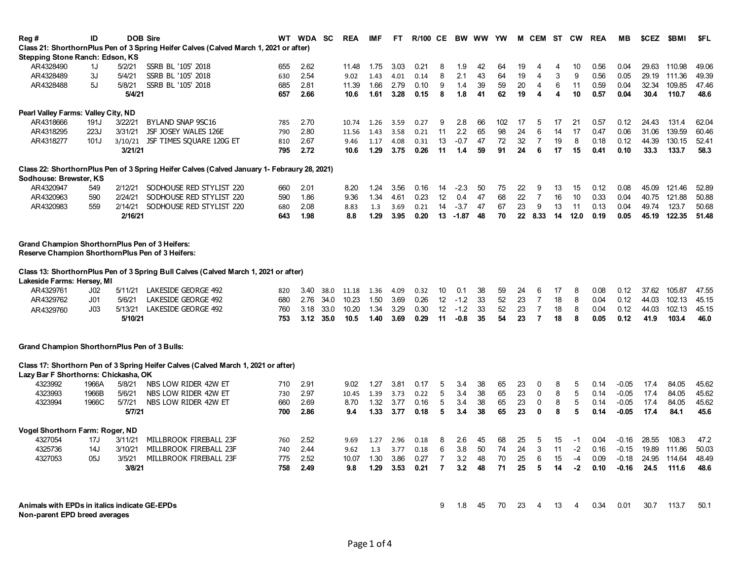| Reg #                                               | ID              |         | <b>DOB Sire</b>                                                                             | WT. | WDA SC |      | <b>REA</b> | <b>IMF</b> | FT.  | <b>R/100 CE</b> |                 | BW WW YW |    |     | M  | CEM            | ST | <b>CW</b> | <b>REA</b> | MВ      | \$CEZ | \$BMI  | <b>SFL</b> |
|-----------------------------------------------------|-----------------|---------|---------------------------------------------------------------------------------------------|-----|--------|------|------------|------------|------|-----------------|-----------------|----------|----|-----|----|----------------|----|-----------|------------|---------|-------|--------|------------|
|                                                     |                 |         | Class 21: ShorthornPlus Pen of 3 Spring Heifer Calves (Calved March 1, 2021 or after)       |     |        |      |            |            |      |                 |                 |          |    |     |    |                |    |           |            |         |       |        |            |
| Stepping Stone Ranch: Edson, KS                     |                 |         |                                                                                             |     |        |      |            |            |      |                 |                 |          |    |     |    |                |    |           |            |         |       |        |            |
| AR4328490                                           | 1J              | 5/2/21  | SSRB BL '105' 2018                                                                          | 655 | 2.62   |      | 11.48      | 1.75       | 3.03 | 0.21            | 8               | 1.9      | 42 | 64  | 19 | 4              | 4  | 10        | 0.56       | 0.04    | 29.63 | 110.98 | 49.06      |
| AR4328489                                           | 3J              | 5/4/21  | SSRB BL '105' 2018                                                                          | 630 | 2.54   |      | 9.02       | 1.43       | 4.01 | 0.14            | 8               | 2.1      | 43 | 64  | 19 | 4              | 3  | 9         | 0.56       | 0.05    | 29.19 | 111.36 | 49.39      |
| AR4328488                                           | 5J              | 5/8/21  | SSRB BL '105' 2018                                                                          | 685 | 2.81   |      | 11.39      | 1.66       | 2.79 | 0.10            | 9               | 1.4      | 39 | 59  | 20 | 4              | 6  | 11        | 0.59       | 0.04    | 32.34 | 109.85 | 47.46      |
|                                                     |                 | 5/4/21  |                                                                                             | 657 | 2.66   |      | 10.6       | 1.61       | 3.28 | 0.15            | 8               | 1.8      | 41 | 62  | 19 | 4              | 4  | 10        | 0.57       | 0.04    | 30.4  | 110.7  | 48.6       |
| Pearl Valley Farms: Valley City, ND                 |                 |         |                                                                                             |     |        |      |            |            |      |                 |                 |          |    |     |    |                |    |           |            |         |       |        |            |
| AR4318666                                           | 191J            | 3/22/21 | BYLAND SNAP 9SC16                                                                           | 785 | 2.70   |      | 10.74      | 1.26       | 3.59 | 0.27            | 9               | 2.8      | 66 | 102 | 17 | 5              | 17 | 21        | 0.57       | 0.12    | 24.43 | 131.4  | 62.04      |
| AR4318295                                           | 223J            | 3/31/21 | JSF JOSEY WALES 126E                                                                        | 790 | 2.80   |      | 11.56      | 1.43       | 3.58 | 0.21            | 11              | 2.2      | 65 | 98  | 24 | 6              | 14 | 17        | 0.47       | 0.06    | 31.06 | 139.59 | 60.46      |
| AR4318277                                           | 101J            | 3/10/21 | JSF TIMES SQUARE 120G ET                                                                    | 810 | 2.67   |      | 9.46       | 1.17       | 4.08 | 0.31            | 13              | $-0.7$   | 47 | 72  | 32 | $\overline{7}$ | 19 | 8         | 0.18       | 0.12    | 44.39 | 130.15 | 52.41      |
|                                                     |                 | 3/21/21 |                                                                                             | 795 | 2.72   |      | 10.6       | 1.29       | 3.75 | 0.26            | 11              | 1.4      | 59 | 91  | 24 | 6              | 17 | 15        | 0.41       | 0.10    | 33.3  | 133.7  | 58.3       |
|                                                     |                 |         |                                                                                             |     |        |      |            |            |      |                 |                 |          |    |     |    |                |    |           |            |         |       |        |            |
| Sodhouse: Brewster, KS                              |                 |         | Class 22: ShorthornPlus Pen of 3 Spring Heifer Calves (Calved January 1- Febraury 28, 2021) |     |        |      |            |            |      |                 |                 |          |    |     |    |                |    |           |            |         |       |        |            |
| AR4320947                                           | 549             | 2/12/21 | SODHOUSE RED STYLIST 220                                                                    | 660 | 2.01   |      | 8.20       | 1.24       | 3.56 | 0.16            | 14              | -2.3     | 50 | 75  | 22 | 9              | 13 | 15        | 0.12       | 0.08    | 45.09 | 121.46 | 52.89      |
| AR4320963                                           | 590             | 2/24/21 | SODHOUSE RED STYLIST 220                                                                    | 590 | 1.86   |      | 9.36       | 1.34       | 4.61 | 0.23            | 12              | 0.4      | 47 | 68  | 22 | $\overline{7}$ | 16 | 10        | 0.33       | 0.04    | 40.75 | 121.88 | 50.88      |
| AR4320983                                           | 559             | 2/14/21 | SODHOUSE RED STYLIST 220                                                                    | 680 | 2.08   |      | 8.83       | 1.3        | 3.69 | 0.21            | 14              | $-3.7$   | 47 | 67  | 23 | 9              | 13 | 11        | 0.13       | 0.04    | 49.74 | 123.7  | 50.68      |
|                                                     |                 | 2/16/21 |                                                                                             | 643 | 1.98   |      | 8.8        | 1.29       | 3.95 | 0.20            | 13              | $-1.87$  | 48 | 70  | 22 | 8.33           | 14 | 12.0      | 0.19       | 0.05    | 45.19 | 122.35 | 51.48      |
|                                                     |                 |         |                                                                                             |     |        |      |            |            |      |                 |                 |          |    |     |    |                |    |           |            |         |       |        |            |
| Grand Champion ShorthornPlus Pen of 3 Heifers:      |                 |         |                                                                                             |     |        |      |            |            |      |                 |                 |          |    |     |    |                |    |           |            |         |       |        |            |
| Reserve Champion ShorthornPlus Pen of 3 Heifers:    |                 |         |                                                                                             |     |        |      |            |            |      |                 |                 |          |    |     |    |                |    |           |            |         |       |        |            |
|                                                     |                 |         | Class 13: ShorthornPlus Pen of 3 Spring Bull Calves (Calved March 1, 2021 or after)         |     |        |      |            |            |      |                 |                 |          |    |     |    |                |    |           |            |         |       |        |            |
| Lakeside Farms: Hersey, MI                          |                 |         |                                                                                             |     |        |      |            |            |      |                 |                 |          |    |     |    |                |    |           |            |         |       |        |            |
| AR4329761                                           | J <sub>02</sub> | 5/11/21 | LAKESIDE GEORGE 492                                                                         | 820 | 3.40   | 38.0 | 11.18      | 1.36       | 4.09 | 0.32            | 10              | 0.1      | 38 | 59  | 24 | 6              | 17 | 8         | 0.08       | 0.12    | 37.62 | 105.87 | 47.55      |
| AR4329762                                           | J <sub>01</sub> | 5/6/21  | LAKESIDE GEORGE 492                                                                         | 680 | 2.76   | 34.0 | 10.23      | 1.50       | 3.69 | 0.26            | 12              | $-1.2$   | 33 | 52  | 23 | $\overline{7}$ | 18 | 8         | 0.04       | 0.12    | 44.03 | 102.13 | 45.15      |
| AR4329760                                           | J <sub>03</sub> | 5/13/21 | LAKESIDE GEORGE 492                                                                         | 760 | 3.18   | 33.0 | 10.20      | 1.34       | 3.29 | 0.30            | 12              | $-1.2$   | 33 | 52  | 23 | $\overline{7}$ | 18 | 8         | 0.04       | 0.12    | 44.03 | 102.13 | 45.15      |
|                                                     |                 | 5/10/21 |                                                                                             | 753 | 3.12   | 35.0 | 10.5       | 1.40       | 3.69 | 0.29            | 11              | $-0.8$   | 35 | 54  | 23 | $\overline{7}$ | 18 | 8         | 0.05       | 0.12    | 41.9  | 103.4  | 46.0       |
|                                                     |                 |         |                                                                                             |     |        |      |            |            |      |                 |                 |          |    |     |    |                |    |           |            |         |       |        |            |
| <b>Grand Champion ShorthornPlus Pen of 3 Bulls:</b> |                 |         |                                                                                             |     |        |      |            |            |      |                 |                 |          |    |     |    |                |    |           |            |         |       |        |            |
|                                                     |                 |         | Class 17: Shorthorn Pen of 3 Spring Heifer Calves (Calved March 1, 2021 or after)           |     |        |      |            |            |      |                 |                 |          |    |     |    |                |    |           |            |         |       |        |            |
| Lazy Bar F Shorthorns: Chickasha, OK                |                 |         |                                                                                             |     |        |      |            |            |      |                 |                 |          |    |     |    |                |    |           |            |         |       |        |            |
| 4323992                                             | 1966A           | 5/8/21  | NBS LOW RIDER 42W ET                                                                        | 710 | 2.91   |      | 9.02       | 1.27       | 3.81 | 0.17            | 5               | 3.4      | 38 | 65  | 23 | 0              | 8  | 5         | 0.14       | $-0.05$ | 17.4  | 84.05  | 45.62      |
| 4323993                                             | 1966B           | 5/6/21  | NBS LOW RIDER 42W ET                                                                        | 730 | 2.97   |      | 10.45      | 1.39       | 3.73 | 0.22            | 5               | 3.4      | 38 | 65  | 23 | $\mathbf 0$    | 8  | 5         | 0.14       | $-0.05$ | 17.4  | 84.05  | 45.62      |
| 4323994                                             | 1966C           | 5/7/21  | NBS LOW RIDER 42W ET                                                                        | 660 | 2.69   |      | 8.70       | 1.32       | 3.77 | 0.16            | 5               | 3.4      | 38 | 65  | 23 | $\mathbf 0$    | 8  | 5         | 0.14       | $-0.05$ | 17.4  | 84.05  | 45.62      |
|                                                     |                 | 5/7/21  |                                                                                             | 700 | 2.86   |      | 9.4        | 1.33       | 3.77 | 0.18            | 5               | 3.4      | 38 | 65  | 23 | $\mathbf{0}$   | 8  | 5         | 0.14       | $-0.05$ | 17.4  | 84.1   | 45.6       |
| Vogel Shorthorn Farm: Roger, ND                     |                 |         |                                                                                             |     |        |      |            |            |      |                 |                 |          |    |     |    |                |    |           |            |         |       |        |            |
| 4327054                                             | 17J             | 3/11/21 | MILLBROOK FIREBALL 23F                                                                      | 760 | 2.52   |      | 9.69       | 1.27       | 2.96 | 0.18            | 8               | 2.6      | 45 | 68  | 25 | 5              | 15 | -1        | 0.04       | $-0.16$ | 28.55 | 108.3  | 47.2       |
| 4325736                                             | 14J             | 3/10/21 | MILLBROOK FIREBALL 23F                                                                      | 740 | 2.44   |      | 9.62       | 1.3        | 3.77 | 0.18            | $6\phantom{1}6$ | 3.8      | 50 | 74  | 24 | 3              | 11 | $-2$      | 0.16       | $-0.15$ | 19.89 | 111.86 | 50.03      |
| 4327053                                             | 05J             | 3/5/21  | MILLBROOK FIREBALL 23F                                                                      | 775 | 2.52   |      | 10.07      | 1.30       | 3.86 | 0.27            | $\overline{7}$  | 3.2      | 48 | 70  | 25 | 6              | 15 | $-4$      | 0.09       | $-0.18$ | 24.95 | 114.64 | 48.49      |
|                                                     |                 | 3/8/21  |                                                                                             | 758 | 2.49   |      | 9.8        | 1.29       | 3.53 | 0.21            | $\overline{7}$  | 3.2      | 48 | 71  | 25 | 5              | 14 | $-2$      | 0.10       | $-0.16$ | 24.5  | 111.6  | 48.6       |
|                                                     |                 |         |                                                                                             |     |        |      |            |            |      |                 |                 |          |    |     |    |                |    |           |            |         |       |        |            |
|                                                     |                 |         |                                                                                             |     |        |      |            |            |      |                 |                 |          |    |     |    |                |    |           |            |         |       |        |            |
| Animals with EPDs in italics indicate GE-EPDs       |                 |         |                                                                                             |     |        |      |            |            |      |                 | 9               | 1.8      | 45 | 70  | 23 | 4              | 13 | 4         | 0.34       | 0.01    | 30.7  | 113.7  | 50.1       |
| Non-parent EPD breed averages                       |                 |         |                                                                                             |     |        |      |            |            |      |                 |                 |          |    |     |    |                |    |           |            |         |       |        |            |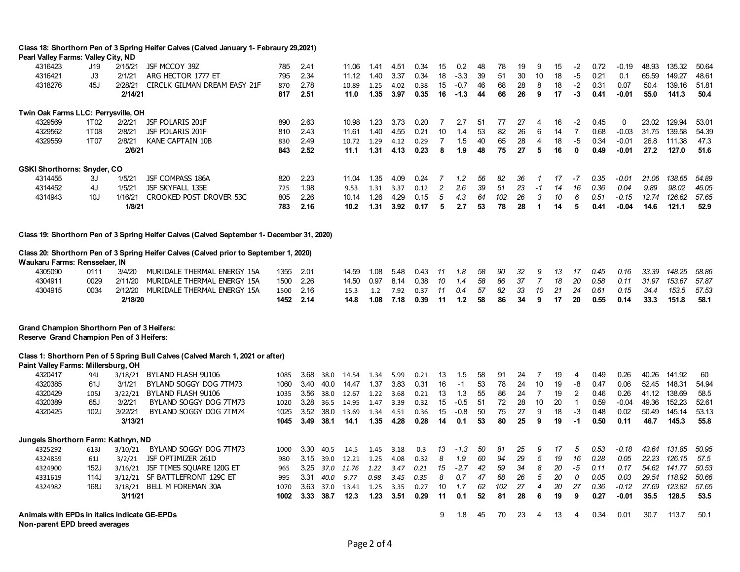|                                                                                               |                   |                    | Class 18: Shorthorn Pen of 3 Spring Heifer Calves (Calved January 1- Febraury 29,2021)    |              |              |              |                |              |              |              |            |               |          |          |          |                 |          |                         |              |                 |                |                  |               |
|-----------------------------------------------------------------------------------------------|-------------------|--------------------|-------------------------------------------------------------------------------------------|--------------|--------------|--------------|----------------|--------------|--------------|--------------|------------|---------------|----------|----------|----------|-----------------|----------|-------------------------|--------------|-----------------|----------------|------------------|---------------|
| Pearl Valley Farms: Valley City, ND                                                           |                   |                    |                                                                                           |              |              |              |                |              |              |              |            |               |          |          |          |                 |          |                         |              |                 |                |                  |               |
| 4316423                                                                                       | J19               | 2/15/21            | JSF MCCOY 39Z                                                                             | 785          | 2.41         |              | 11.06          | 1.41         | 4.51         | 0.34         | 15         | 0.2           | 48       | 78       | 19       | 9               | 15       | $-2$                    | 0.72         | -0.19           | 48.93          | 135.32           | 50.64         |
| 4316421                                                                                       | J3                | 2/1/21             | ARG HECTOR 1777 ET                                                                        | 795          | 2.34         |              | 11.12          | 1.40         | 3.37         | 0.34         | 18         | $-3.3$        | 39       | 51       | 30       | 10              | 18       | $-5$                    | 0.21         | 0.1             | 65.59          | 149.27           | 48.61         |
| 4318276                                                                                       | 45J               | 2/28/21            | CIRCLK GILMAN DREAM EASY 21F                                                              | 870          | 2.78         |              | 10.89          | 1.25         | 4.02         | 0.38         | 15         | $-0.7$        | 46       | 68       | 28       | 8               | 18       | $-2$                    | 0.31         | 0.07            | 50.4           | 139.16           | 51.81         |
|                                                                                               |                   | 2/14/21            |                                                                                           | 817          | 2.51         |              | 11.0           | 1.35         | 3.97         | 0.35         | 16         | $-1.3$        | 44       | 66       | 26       | 9               | 17       | $-3$                    | 0.41         | $-0.01$         | 55.0           | 141.3            | 50.4          |
| Twin Oak Farms LLC: Perrysville, OH                                                           |                   |                    |                                                                                           |              |              |              |                |              |              |              |            |               |          |          |          |                 |          |                         |              |                 |                |                  |               |
| 4329569                                                                                       | 1T <sub>0</sub> 2 | 2/2/21             | <b>JSF POLARIS 201F</b>                                                                   | 890          | 2.63         |              | 10.98          | 1.23         | 3.73         | 0.20         | 7          | 2.7           | 51       | 77       | 27       | 4               | 16       | -2                      | 0.45         | 0               | 23.02          | 129.94           | 53.01         |
| 4329562                                                                                       | 1T08              | 2/8/21             | JSF POLARIS 201F                                                                          | 810          | 2.43         |              | 11.61          | 1.40         | 4.55         | 0.21         | 10         | 1.4           | 53       | 82       | 26       | 6               | 14       | $\overline{7}$          | 0.68         | $-0.03$         | 31.75          | 139.58           | 54.39         |
| 4329559                                                                                       | 1T07              | 2/8/21             | KANE CAPTAIN 10B                                                                          | 830          | 2.49         |              | 10.72          | 1.29         | 4.12         | 0.29         | 7          | 1.5           | 40       | 65       | 28       | $\overline{4}$  | 18       | $-5$                    | 0.34         | $-0.01$         | 26.8           | 111.38           | 47.3          |
|                                                                                               |                   | 2/6/21             |                                                                                           | 843          | 2.52         |              | 11.1           | 1.31         | 4.13         | 0.23         | 8          | 1.9           | 48       | 75       | 27       | 5               | 16       | $\mathbf{0}$            | 0.49         | $-0.01$         | 27.2           | 127.0            | 51.6          |
| <b>GSKI Shorthorns: Snyder, CO</b>                                                            |                   |                    |                                                                                           |              |              |              |                |              |              |              |            |               |          |          |          |                 |          |                         |              |                 |                |                  |               |
| 4314455                                                                                       | 3J                | 1/5/21             | JSF COMPASS 186A                                                                          | 820          | 2.23         |              | 11.04          | 1.35         | 4.09         | 0.24         | 7          | 1.2           | 56       | 82       | 36       | 1               | 17       | -7                      | 0.35         | $-0.01$         | 21.06          | 138.65           | 54.89         |
| 4314452                                                                                       | 4J                | 1/5/21             | JSF SKYFALL 135E                                                                          | 725          | 1.98         |              | 9.53           | 1.31         | 3.37         | 0.12         | $\sqrt{2}$ | 2.6           | 39       | 51       | 23       | $-1$            | 14       | 16                      | 0.36         | 0.04            | 9.89           | 98.02            | 46.05         |
| 4314943                                                                                       | 10J               | 1/16/21            | CROOKED POST DROVER 53C                                                                   | 805          | 2.26         |              | 10.14          | 1.26         | 4.29         | 0.15         | 5          | 4.3           | 64       | 102      | 26       | 3               | 10       | 6                       | 0.51         | $-0.15$         | 12.74          | 126.62           | 57.65         |
|                                                                                               |                   | 1/8/21             |                                                                                           | 783          | 2.16         |              | 10.2           | 1.31         | 3.92         | 0.17         | 5          | 2.7           | 53       | 78       | 28       | -1              | 14       | 5                       | 0.41         | $-0.04$         | 14.6           | 121.1            | 52.9          |
|                                                                                               |                   |                    |                                                                                           |              |              |              |                |              |              |              |            |               |          |          |          |                 |          |                         |              |                 |                |                  |               |
|                                                                                               |                   |                    | Class 19: Shorthorn Pen of 3 Spring Heifer Calves (Calved September 1- December 31, 2020) |              |              |              |                |              |              |              |            |               |          |          |          |                 |          |                         |              |                 |                |                  |               |
|                                                                                               |                   |                    | Class 20: Shorthorn Pen of 3 Spring Heifer Calves (Calved prior to September 1, 2020)     |              |              |              |                |              |              |              |            |               |          |          |          |                 |          |                         |              |                 |                |                  |               |
| Waukaru Farms: Rensselaer, IN                                                                 |                   |                    |                                                                                           |              |              |              |                |              |              |              |            |               |          |          |          |                 |          |                         |              |                 |                |                  |               |
| 4305090                                                                                       | 0111              | 3/4/20             | MURIDALE THERMAL ENERGY 15A                                                               | 1355         | 2.01         |              | 14.59          | 1.08         | 5.48         | 0.43         | 11         | 1.8           | 58       | 90       | 32       | 9               | 13       | 17                      | 0.45         | 0.16            | 33.39          | 148.25           | 58.86         |
| 4304911                                                                                       | 0029              | 2/11/20            | MURIDALE THERMAL ENERGY 15A                                                               | 1500         | 2.26         |              | 14.50          | 0.97         | 8.14         | 0.38         | 10         | 1.4           | 58       | 86       | 37       | $\overline{7}$  | 18       | 20                      | $0.58\,$     | 0.11            | 31.97          | 153.67           | 57.87         |
| 4304915                                                                                       | 0034              | 2/12/20            | MURIDALE THERMAL ENERGY 15A                                                               | 1500         | 2.16         |              | 15.3           | 1.2          | 7.92         | 0.37         | 11         | 0.4           | 57       | 82       | 33       | 10              | 21       | 24                      | 0.61         | 0.15            | 34.4           | 153.5            | 57.53         |
|                                                                                               |                   | 2/18/20            |                                                                                           | 1452         | 2.14         |              | 14.8           | 1.08         | 7.18         | 0.39         | 11         | $1.2$         | 58       | 86       | 34       | 9               | 17       | 20                      | 0.55         | 0.14            | 33.3           | 151.8            | 58.1          |
|                                                                                               |                   |                    |                                                                                           |              |              |              |                |              |              |              |            |               |          |          |          |                 |          |                         |              |                 |                |                  |               |
| <b>Grand Champion Shorthorn Pen of 3 Heifers:</b><br>Reserve Grand Champion Pen of 3 Heifers: |                   |                    |                                                                                           |              |              |              |                |              |              |              |            |               |          |          |          |                 |          |                         |              |                 |                |                  |               |
|                                                                                               |                   |                    |                                                                                           |              |              |              |                |              |              |              |            |               |          |          |          |                 |          |                         |              |                 |                |                  |               |
|                                                                                               |                   |                    | Class 1: Shorthorn Pen of 5 Spring Bull Calves (Calved March 1, 2021 or after)            |              |              |              |                |              |              |              |            |               |          |          |          |                 |          |                         |              |                 |                |                  |               |
| Paint Valley Farms: Millersburg, OH<br>4320417                                                |                   |                    |                                                                                           |              | 3.68         |              |                |              |              |              |            |               | 58       | 91       | 24       | 7               | 19       | $\overline{4}$          | 0.49         | 0.26            | 40.26          | 141.92           | 60            |
| 4320385                                                                                       | 94J<br>61J        | 3/18/21<br>3/1/21  | BYLAND FLASH 9U106<br>BYLAND SOGGY DOG 7TM73                                              | 1085<br>1060 | 3.40         | 38.0<br>40.0 | 14.54<br>14.47 | 1.34<br>1.37 | 5.99<br>3.83 | 0.21<br>0.31 | 13<br>16   | 1.5<br>$-1$   | 53       | 78       | 24       | 10              | 19       | -8                      | 0.47         | 0.06            | 52.45          | 148.31           | 54.94         |
| 4320429                                                                                       | 105J              | 3/22/21            | BYLAND FLASH 9U106                                                                        | 1035         | 3.56         | 38.0         | 12.67          | 1.22         | 3.68         | 0.21         | 13         | 1.3           | 55       | 86       | 24       | 7               | 19       | $\overline{2}$          | 0.46         | 0.26            | 41.12          | 138.69           | 58.5          |
| 4320389                                                                                       | 65J               | 3/2/21             | BYLAND SOGGY DOG 7TM73                                                                    | 1020         | 3.28         | 36.5         | 14.95          | 1.47         | 3.39         | 0.32         | 15         | $-0.5$        | 51       | 72       | 28       | 10              | 20       | $\overline{\mathbf{1}}$ | 0.59         | $-0.04$         | 49.36          | 152.23           | 52.61         |
| 4320425                                                                                       | 102J              | 3/22/21            | BYLAND SOGGY DOG 7TM74                                                                    | 1025         | 3.52         | 38.0         | 13.69          | 1.34         | 4.51         | 0.36         | 15         | $-0.8$        | 50       | 75       | 27       | 9               | 18       | $-3$                    | 0.48         | 0.02            | 50.49          | 145.14           | 53.13         |
|                                                                                               |                   | 3/13/21            |                                                                                           | 1045         | 3.49         | 38.1         | 14.1           | 1.35         | 4.28         | 0.28         | 14         | 0.1           | 53       | 80       | 25       | 9               | 19       | $-1$                    | 0.50         | 0.11            | 46.7           | 145.3            | 55.8          |
|                                                                                               |                   |                    |                                                                                           |              |              |              |                |              |              |              |            |               |          |          |          |                 |          |                         |              |                 |                |                  |               |
| Jungels Shorthorn Farm: Kathryn, ND                                                           |                   |                    |                                                                                           |              |              |              |                |              |              |              |            |               |          |          |          |                 |          |                         |              |                 |                |                  |               |
| 4325292                                                                                       | 613J              | 3/10/21            | BYLAND SOGGY DOG 7TM73<br>JSF OPTIMIZER 261D                                              | 1000         | 3.30<br>3.15 | 40.5         | 14.5           | 1.45<br>1.25 | 3.18         | 0.3<br>0.32  | 13<br>8    | $-1.3$<br>1.9 | 50<br>60 | 81<br>94 | 25<br>29 | 9<br>$\sqrt{5}$ | 17<br>19 | 5<br>16                 | 0.53<br>0.28 | $-0.18$<br>0.05 | 43.64<br>22.23 | 131.85<br>126.15 | 50.95<br>57.5 |
| 4324859                                                                                       | 61J<br>152J       | 3/2/21             |                                                                                           | 980          | 3.25         | 39.0         | 12.21          |              | 4.08         | 0.21         | 15         | $-2.7$        | 42       | 59       | 34       | 8               | 20       | -5                      | 0.11         | 0.17            | 54.62          | 141.77           | 50.53         |
| 4324900                                                                                       | 114J              | 3/16/21<br>3/12/21 | JSF TIMES SQUARE 120G ET<br>SF BATTLEFRONT 129C ET                                        | 965          | 3.31         | 37.0<br>40.0 | 11.76<br>9.77  | 1.22<br>0.98 | 3.47<br>3.45 | 0.35         | 8          | 0.7           | 47       | 68       | 26       | 5               | 20       | 0                       | 0.05         | 0.03            | 29.54          | 118.92           | 50.66         |
| 4331619                                                                                       | 168J              |                    | 3/18/21 BELL M FOREMAN 30A                                                                | 995          | 3.63         |              |                |              |              |              | 10         | 1.7           | 62       | 102      | 27       | 4               | 20       | 27                      | 0.36         | $-0.12$         | 27.69          | 123.82           | 57.65         |
| 4324982                                                                                       |                   | 3/11/21            |                                                                                           | 1070<br>1002 | 3.33         | 37.0<br>38.7 | 13.41<br>12.3  | 1.25<br>1.23 | 3.35<br>3.51 | 0.27<br>0.29 | 11         | 0.1           | 52       | 81       | 28       | 6               | 19       | 9                       | 0.27         | $-0.01$         | 35.5           | 128.5            | 53.5          |
|                                                                                               |                   |                    |                                                                                           |              |              |              |                |              |              |              |            |               |          |          |          |                 |          |                         |              |                 |                |                  |               |
| Animals with EPDs in italics indicate GE-EPDs                                                 |                   |                    |                                                                                           |              |              |              |                |              |              |              | 9          | 1.8           | 45       | 70       | 23       | 4               | 13       | 4                       | 0.34         | 0.01            | 30.7           | 113.7            | 50.1          |
| Non-parent EPD breed averages                                                                 |                   |                    |                                                                                           |              |              |              |                |              |              |              |            |               |          |          |          |                 |          |                         |              |                 |                |                  |               |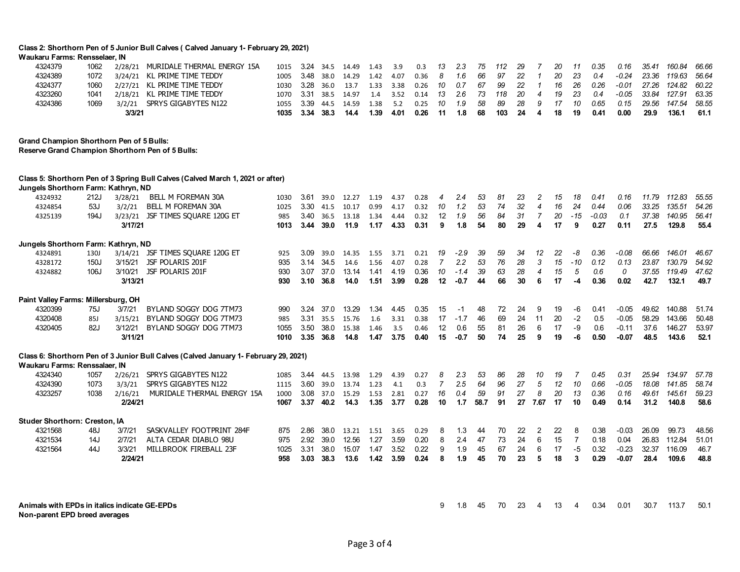**Class 2: Shorthorn Pen of 5 Junior Bull Calves ( Calved January 1- February 29, 2021)**

| Waukaru Farms: Rensselaer, IN                    |             |         |                                                                                      |      |      |      |       |      |      |      |                |        |      |     |    |                |    |                |         |         |       |        |       |
|--------------------------------------------------|-------------|---------|--------------------------------------------------------------------------------------|------|------|------|-------|------|------|------|----------------|--------|------|-----|----|----------------|----|----------------|---------|---------|-------|--------|-------|
| 4324379                                          | 1062        |         | 2/28/21 MURIDALE THERMAL ENERGY 15A                                                  | 1015 | 3.24 | 34.5 | 14.49 | 1.43 | 3.9  | 0.3  | 13             | 2.3    | 75   | 112 | 29 |                | 20 | 11             | 0.35    | 0.16    | 35.41 | 160.84 | 66.66 |
| 4324389                                          | 1072        |         | 3/24/21 KL PRIME TIME TEDDY                                                          | 1005 | 3.48 | 38.0 | 14.29 | 1.42 | 4.07 | 0.36 | 8              | 1.6    | 66   | 97  | 22 | 1              | 20 | 23             | 0.4     | $-0.24$ | 23.36 | 119.63 | 56.64 |
| 4324377                                          | 1060        |         | 2/27/21 KL PRIME TIME TEDDY                                                          | 1030 | 3.28 | 36.0 | 13.7  | 1.33 | 3.38 | 0.26 | 10             | 0.7    | 67   | 99  | 22 | 1              | 16 | 26             | 0.26    | $-0.01$ | 27.26 | 124.82 | 60.22 |
| 4323260                                          | 1041        |         | 2/18/21 KL PRIME TIME TEDDY                                                          | 1070 | 3.31 | 38.5 | 14.97 | 1.4  | 3.52 | 0.14 | 13             | 2.6    | 73   | 118 | 20 | 4              | 19 | 23             | 0.4     | $-0.05$ | 33.84 | 127.91 | 63.35 |
| 4324386                                          | 1069        |         | 3/2/21 SPRYS GIGABYTES N122                                                          | 1055 | 3.39 | 44.5 | 14.59 | 1.38 | 5.2  | 0.25 | 10             | 1.9    | 58   | 89  | 28 | 9              | 17 | 10             | 0.65    | 0.15    | 29.56 | 147.54 | 58.55 |
|                                                  |             | 3/3/21  |                                                                                      | 1035 | 3.34 | 38.3 | 14.4  | 1.39 | 4.01 | 0.26 | 11             | 1.8    | 68   | 103 | 24 | 4              | 18 | 19             | 0.41    | 0.00    | 29.9  | 136.1  | 61.1  |
| <b>Grand Champion Shorthorn Pen of 5 Bulls:</b>  |             |         |                                                                                      |      |      |      |       |      |      |      |                |        |      |     |    |                |    |                |         |         |       |        |       |
| Reserve Grand Champion Shorthorn Pen of 5 Bulls: |             |         |                                                                                      |      |      |      |       |      |      |      |                |        |      |     |    |                |    |                |         |         |       |        |       |
| Jungels Shorthorn Farm: Kathryn, ND              |             |         | Class 5: Shorthorn Pen of 3 Spring Bull Calves (Calved March 1, 2021 or after)       |      |      |      |       |      |      |      |                |        |      |     |    |                |    |                |         |         |       |        |       |
| 4324932                                          | 212J        | 3/28/21 | BELL M FOREMAN 30A                                                                   | 1030 | 3.61 | 39.0 | 12.27 | 1.19 | 4.37 | 0.28 | 4              | 2.4    | 53   | 81  | 23 | 2              | 15 | 18             | 0.41    | 0.16    | 11.79 | 112.83 | 55.55 |
| 4324854                                          | 53J         | 3/2/21  | BELL M FOREMAN 30A                                                                   | 1025 | 3.30 | 41.5 | 10.17 | 0.99 | 4.17 | 0.32 | 10             | 1.2    | 53   | 74  | 32 | 4              | 16 | 24             | 0.44    | 0.06    | 33.25 | 135.51 | 54.26 |
| 4325139                                          | 194J        |         | 3/23/21 JSF TIMES SOUARE 120G ET                                                     | 985  | 3.40 | 36.5 | 13.18 | 1.34 | 4.44 | 0.32 | 12             | 1.9    | 56   | 84  | 31 | $\overline{7}$ | 20 | $-15$          | $-0.03$ | 0.1     | 37.38 | 140.95 | 56.41 |
|                                                  |             | 3/17/21 |                                                                                      | 1013 | 3.44 | 39.0 | 11.9  | 1.17 | 4.33 | 0.31 | 9              | 1.8    | 54   | 80  | 29 | 4              | 17 | 9              | 0.27    | 0.11    | 27.5  | 129.8  | 55.4  |
|                                                  |             |         |                                                                                      |      |      |      |       |      |      |      |                |        |      |     |    |                |    |                |         |         |       |        |       |
| Jungels Shorthorn Farm: Kathryn, ND              |             |         |                                                                                      |      |      |      |       |      |      |      |                |        |      |     |    |                |    |                |         |         |       |        |       |
| 4324891                                          | <b>130J</b> | 3/14/21 | JSF TIMES SOUARE 120G ET                                                             | 925  | 3.09 | 39.0 | 14.35 | 1.55 | 3.71 | 0.21 | 19             | -2.9   | 39   | 59  | 34 | 12             | 22 | -8             | 0.36    | $-0.08$ | 66.66 | 146.01 | 46.67 |
| 4328172                                          | 150J        |         | 3/15/21 JSF POLARIS 201F                                                             | 935  | 3.14 | 34.5 | 14.6  | 1.56 | 4.07 | 0.28 | $\overline{7}$ | 2.2    | 53   | 76  | 28 | 3              | 15 | $-10$          | 0.12    | 0.13    | 23.87 | 130.79 | 54.92 |
| 4324882                                          | 106J        | 3/10/21 | JSF POLARIS 201F                                                                     | 930  | 3.07 | 37.0 | 13.14 | 1.41 | 4.19 | 0.36 | 10             | $-1.4$ | 39   | 63  | 28 | 4              | 15 | 5              | 0.6     | 0       | 37.55 | 119.49 | 47.62 |
|                                                  |             | 3/13/21 |                                                                                      | 930  | 3.10 | 36.8 | 14.0  | 1.51 | 3.99 | 0.28 | 12             | -0.7   | 44   | 66  | 30 | 6              | 17 | $-4$           | 0.36    | 0.02    | 42.7  | 132.1  | 49.7  |
| Paint Valley Farms: Millersburg, OH              |             |         |                                                                                      |      |      |      |       |      |      |      |                |        |      |     |    |                |    |                |         |         |       |        |       |
| 4320399                                          | 75J         | 3/7/21  | BYLAND SOGGY DOG 7TM73                                                               | 990  | 3.24 | 37.0 | 13.29 | 1.34 | 4.45 | 0.35 | 15             | -1     | 48   | 72  | 24 | 9              | 19 | -6             | 0.41    | $-0.05$ | 49.62 | 140.88 | 51.74 |
| 4320408                                          | <b>85J</b>  | 3/15/21 | BYLAND SOGGY DOG 7TM73                                                               | 985  | 3.31 | 35.5 | 15.76 | 1.6  | 3.31 | 0.38 | 17             | $-1.7$ | 46   | 69  | 24 | 11             | 20 | $-2$           | 0.5     | $-0.05$ | 58.29 | 143.66 | 50.48 |
| 4320405                                          | 82J         | 3/12/21 | BYLAND SOGGY DOG 7TM73                                                               | 1055 | 3.50 | 38.0 | 15.38 | 1.46 | 3.5  | 0.46 | 12             | 0.6    | 55   | 81  | 26 | 6              | 17 | $-9$           | 0.6     | $-0.11$ | 37.6  | 146.27 | 53.97 |
|                                                  |             | 3/11/21 |                                                                                      | 1010 | 3.35 | 36.8 | 14.8  | 1.47 | 3.75 | 0.40 | 15             | -0.7   | 50   | 74  | 25 | 9              | 19 | -6             | 0.50    | $-0.07$ | 48.5  | 143.6  | 52.1  |
|                                                  |             |         | Class 6: Shorthorn Pen of 3 Junior Bull Calves (Calved January 1- February 29, 2021) |      |      |      |       |      |      |      |                |        |      |     |    |                |    |                |         |         |       |        |       |
| Waukaru Farms: Renssalaer. IN                    |             |         |                                                                                      |      |      |      |       |      |      |      |                |        |      |     |    |                |    |                |         |         |       |        |       |
| 4324340                                          | 1057        |         | 2/26/21 SPRYS GIGABYTES N122                                                         | 1085 | 3.44 | 44.5 | 13.98 | 1.29 | 4.39 | 0.27 | 8              | 2.3    | 53   | 86  | 28 | 10             | 19 | 7              | 0.45    | 0.31    | 25.94 | 134.97 | 57.78 |
| 4324390                                          | 1073        | 3/3/21  | SPRYS GIGABYTES N122                                                                 | 1115 | 3.60 | 39.0 | 13.74 | 1.23 | 4.1  | 0.3  | $\overline{7}$ | 2.5    | 64   | 96  | 27 | 5              | 12 | 10             | 0.66    | $-0.05$ | 18.08 | 141.85 | 58.74 |
| 4323257                                          | 1038        | 2/16/21 | MURIDALE THERMAL ENERGY 15A                                                          | 1000 | 3.08 | 37.0 | 15.29 | 1.53 | 2.81 | 0.27 | 16             | 0.4    | 59   | 91  | 27 | 8              | 20 | 13             | 0.36    | 0.16    | 49.61 | 145.61 | 59.23 |
|                                                  |             | 2/24/21 |                                                                                      | 1067 | 3.37 | 40.2 | 14.3  | 1.35 | 3.77 | 0.28 | 10             | 1.7    | 58.7 | 91  | 27 | 7.67           | 17 | 10             | 0.49    | 0.14    | 31.2  | 140.8  | 58.6  |
| Studer Shorthorn: Creston, IA                    |             |         |                                                                                      |      |      |      |       |      |      |      |                |        |      |     |    |                |    |                |         |         |       |        |       |
| 4321568                                          | 48J         | 3/7/21  | SASKVALLEY FOOTPRINT 284F                                                            | 875  | 2.86 | 38.0 | 13.21 | 1.51 | 3.65 | 0.29 | 8              | 1.3    | 44   | 70  | 22 | 2              | 22 | 8              | 0.38    | $-0.03$ | 26.09 | 99.73  | 48.56 |
| 4321534                                          | 14J         | 2/7/21  | ALTA CEDAR DIABLO 98U                                                                | 975  | 2.92 | 39.0 | 12.56 | 1.27 | 3.59 | 0.20 | 8              | 2.4    | 47   | 73  | 24 | 6              | 15 | $\overline{7}$ | 0.18    | 0.04    | 26.83 | 112.84 | 51.01 |
| 4321564                                          | 44J         | 3/3/21  | MILLBROOK FIREBALL 23F                                                               | 1025 | 3.31 | 38.0 | 15.07 | 1.47 | 3.52 | 0.22 | 9              | 1.9    | 45   | 67  | 24 | 6              | 17 | $-5$           | 0.32    | $-0.23$ | 32.37 | 116.09 | 46.7  |
|                                                  |             | 2/24/21 |                                                                                      | 958  | 3.03 | 38.3 | 13.6  | 1.42 | 3.59 | 0.24 | 8              | 1.9    | 45   | 70  | 23 | 5              | 18 | 3              | 0.29    | $-0.07$ | 28.4  | 109.6  | 48.8  |
|                                                  |             |         |                                                                                      |      |      |      |       |      |      |      |                |        |      |     |    |                |    |                |         |         |       |        |       |
|                                                  |             |         |                                                                                      |      |      |      |       |      |      |      |                |        |      |     |    |                |    |                |         |         |       |        |       |